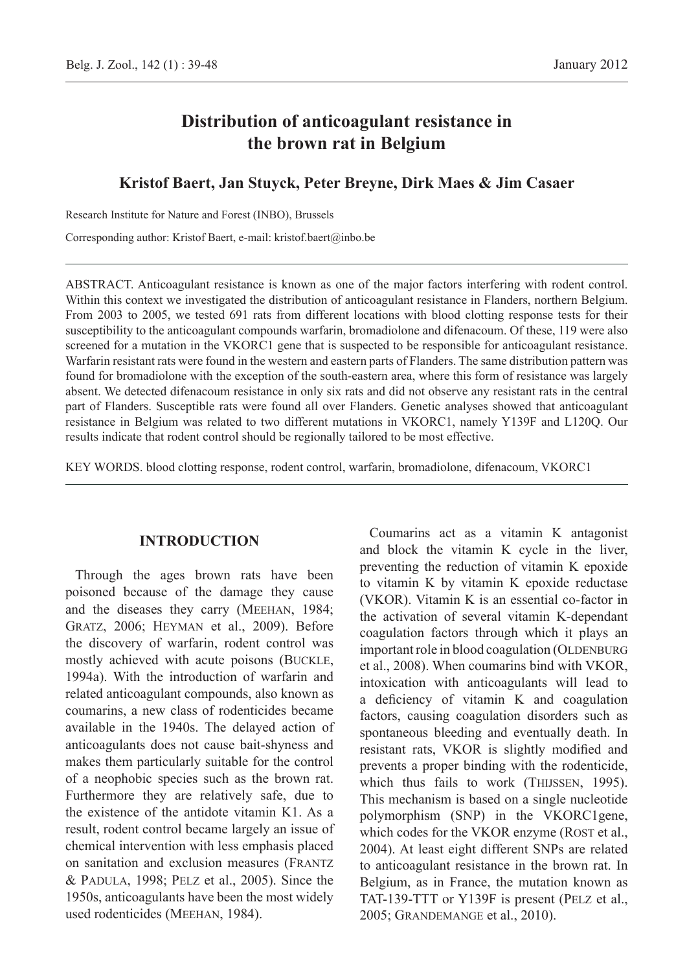# **Distribution of anticoagulant resistance in the brown rat in Belgium**

# **Kristof Baert, Jan Stuyck, Peter Breyne, Dirk Maes & Jim Casaer**

Research Institute for Nature and Forest (INBO), Brussels

Corresponding author: Kristof Baert, e-mail: kristof.baert@inbo.be

ABSTRACT. Anticoagulant resistance is known as one of the major factors interfering with rodent control. Within this context we investigated the distribution of anticoagulant resistance in Flanders, northern Belgium. From 2003 to 2005, we tested 691 rats from different locations with blood clotting response tests for their susceptibility to the anticoagulant compounds warfarin, bromadiolone and difenacoum. Of these, 119 were also screened for a mutation in the VKORC1 gene that is suspected to be responsible for anticoagulant resistance. Warfarin resistant rats were found in the western and eastern parts of Flanders. The same distribution pattern was found for bromadiolone with the exception of the south-eastern area, where this form of resistance was largely absent. We detected difenacoum resistance in only six rats and did not observe any resistant rats in the central part of Flanders. Susceptible rats were found all over Flanders. Genetic analyses showed that anticoagulant resistance in Belgium was related to two different mutations in VKORC1, namely Y139F and L120Q. Our results indicate that rodent control should be regionally tailored to be most effective.

KEY WORDS. blood clotting response, rodent control, warfarin, bromadiolone, difenacoum, VKORC1

# **Introduction**

Through the ages brown rats have been poisoned because of the damage they cause and the diseases they carry (Meehan, 1984; Gratz, 2006; Heyman et al., 2009). Before the discovery of warfarin, rodent control was mostly achieved with acute poisons (Buckle, 1994a). With the introduction of warfarin and related anticoagulant compounds, also known as coumarins, a new class of rodenticides became available in the 1940s. The delayed action of anticoagulants does not cause bait-shyness and makes them particularly suitable for the control of a neophobic species such as the brown rat. Furthermore they are relatively safe, due to the existence of the antidote vitamin K1. As a result, rodent control became largely an issue of chemical intervention with less emphasis placed on sanitation and exclusion measures (Frantz & Padula, 1998; Pelz et al., 2005). Since the 1950s, anticoagulants have been the most widely used rodenticides (Meehan, 1984).

Coumarins act as a vitamin K antagonist and block the vitamin K cycle in the liver, preventing the reduction of vitamin K epoxide to vitamin K by vitamin K epoxide reductase (VKOR). Vitamin K is an essential co-factor in the activation of several vitamin K-dependant coagulation factors through which it plays an important role in blood coagulation (OLDENBURG et al., 2008). When coumarins bind with VKOR, intoxication with anticoagulants will lead to a deficiency of vitamin K and coagulation factors, causing coagulation disorders such as spontaneous bleeding and eventually death. In resistant rats, VKOR is slightly modified and prevents a proper binding with the rodenticide, which thus fails to work (THIJSSEN, 1995). This mechanism is based on a single nucleotide polymorphism (SNP) in the VKORC1gene, which codes for the VKOR enzyme (ROST et al., 2004). At least eight different SNPs are related to anticoagulant resistance in the brown rat. In Belgium, as in France, the mutation known as TAT-139-TTT or Y139F is present (Pelz et al., 2005; Grandemange et al., 2010).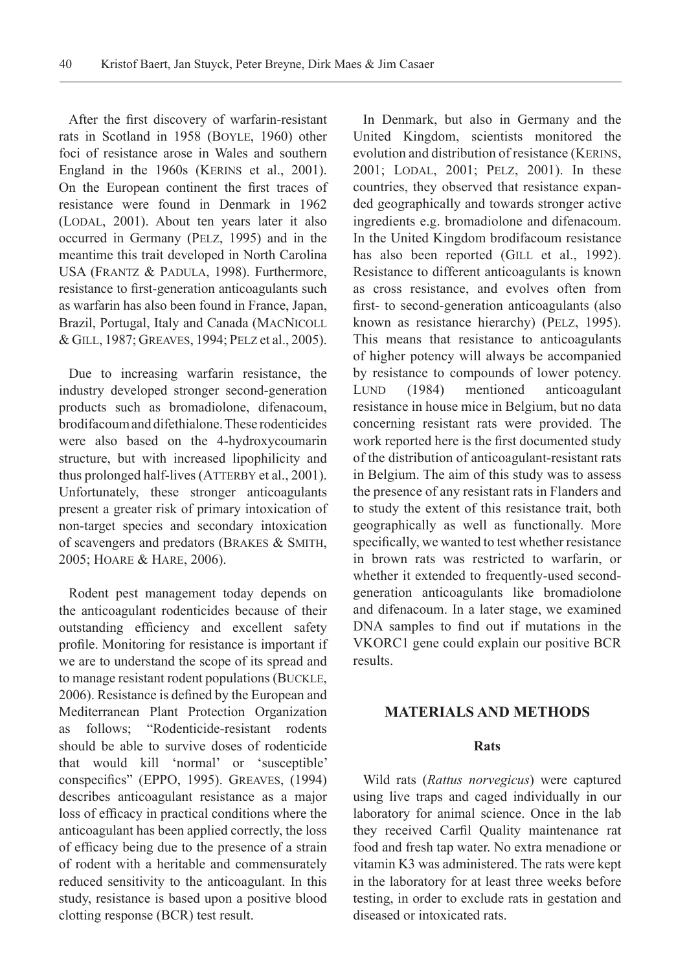After the first discovery of warfarin-resistant rats in Scotland in 1958 (Boyle, 1960) other foci of resistance arose in Wales and southern England in the 1960s (KERINS et al., 2001). On the European continent the first traces of resistance were found in Denmark in 1962 (LODAL, 2001). About ten years later it also occurred in Germany (Pelz, 1995) and in the meantime this trait developed in North Carolina USA (Frantz & Padula, 1998). Furthermore, resistance to first-generation anticoagulants such as warfarin has also been found in France, Japan, Brazil, Portugal, Italy and Canada (MacNicoll & Gill, 1987; Greaves, 1994; Pelz et al., 2005).

Due to increasing warfarin resistance, the industry developed stronger second-generation products such as bromadiolone, difenacoum, brodifacoum and difethialone. These rodenticides were also based on the 4-hydroxycoumarin structure, but with increased lipophilicity and thus prolonged half-lives (ATTERBY et al., 2001). Unfortunately, these stronger anticoagulants present a greater risk of primary intoxication of non-target species and secondary intoxication of scavengers and predators (Brakes & Smith, 2005; Hoare & Hare, 2006).

Rodent pest management today depends on the anticoagulant rodenticides because of their outstanding efficiency and excellent safety profile. Monitoring for resistance is important if we are to understand the scope of its spread and to manage resistant rodent populations (Buckle, 2006). Resistance is defined by the European and Mediterranean Plant Protection Organization as follows; "Rodenticide-resistant rodents should be able to survive doses of rodenticide that would kill 'normal' or 'susceptible' conspecifics" (EPPO, 1995). Greaves, (1994) describes anticoagulant resistance as a major loss of efficacy in practical conditions where the anticoagulant has been applied correctly, the loss of efficacy being due to the presence of a strain of rodent with a heritable and commensurately reduced sensitivity to the anticoagulant. In this study, resistance is based upon a positive blood clotting response (BCR) test result.

In Denmark, but also in Germany and the United Kingdom, scientists monitored the evolution and distribution of resistance (KERINS, 2001; LODAL, 2001; PELZ, 2001). In these countries, they observed that resistance expanded geographically and towards stronger active ingredients e.g. bromadiolone and difenacoum. In the United Kingdom brodifacoum resistance has also been reported (GILL et al., 1992). Resistance to different anticoagulants is known as cross resistance, and evolves often from first- to second-generation anticoagulants (also known as resistance hierarchy) (PELZ, 1995). This means that resistance to anticoagulants of higher potency will always be accompanied by resistance to compounds of lower potency. LUND (1984) mentioned anticoagulant resistance in house mice in Belgium, but no data concerning resistant rats were provided. The work reported here is the first documented study of the distribution of anticoagulant-resistant rats in Belgium. The aim of this study was to assess the presence of any resistant rats in Flanders and to study the extent of this resistance trait, both geographically as well as functionally. More specifically, we wanted to test whether resistance in brown rats was restricted to warfarin, or whether it extended to frequently-used secondgeneration anticoagulants like bromadiolone and difenacoum. In a later stage, we examined DNA samples to find out if mutations in the VKORC1 gene could explain our positive BCR results.

## **Materials and methods**

#### **Rats**

Wild rats (*Rattus norvegicus*) were captured using live traps and caged individually in our laboratory for animal science. Once in the lab they received Carfil Quality maintenance rat food and fresh tap water. No extra menadione or vitamin K3 was administered. The rats were kept in the laboratory for at least three weeks before testing, in order to exclude rats in gestation and diseased or intoxicated rats.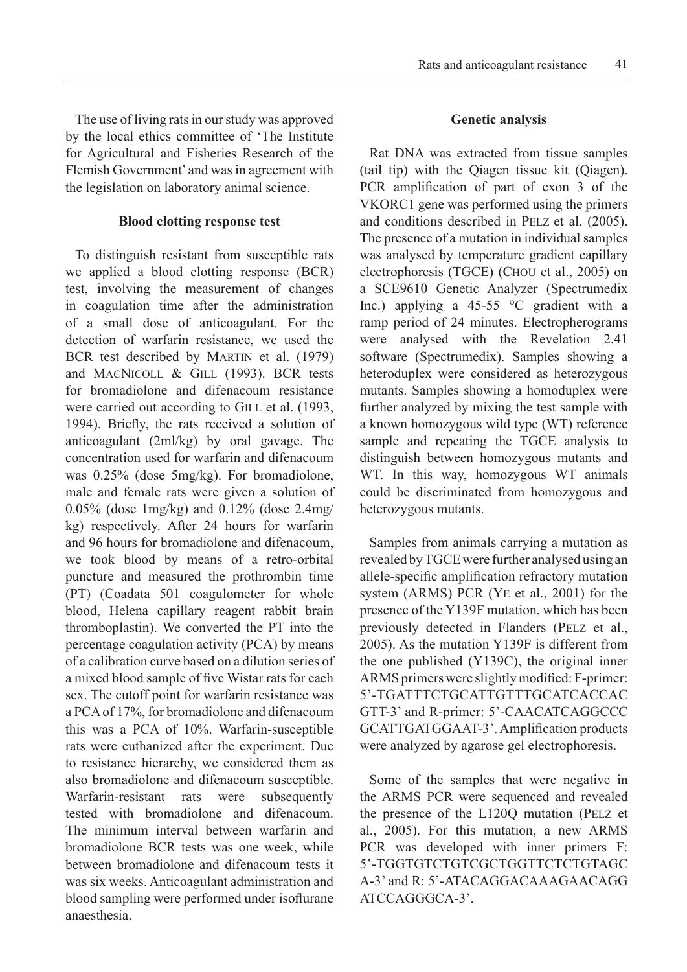The use of living rats in our study was approved by the local ethics committee of 'The Institute for Agricultural and Fisheries Research of the Flemish Government' and was in agreement with the legislation on laboratory animal science.

#### **Blood clotting response test**

To distinguish resistant from susceptible rats we applied a blood clotting response (BCR) test, involving the measurement of changes in coagulation time after the administration of a small dose of anticoagulant. For the detection of warfarin resistance, we used the BCR test described by Martin et al. (1979) and MacNicoll & Gill (1993). BCR tests for bromadiolone and difenacoum resistance were carried out according to GILL et al. (1993, 1994). Briefly, the rats received a solution of anticoagulant (2ml/kg) by oral gavage. The concentration used for warfarin and difenacoum was 0.25% (dose 5mg/kg). For bromadiolone, male and female rats were given a solution of 0.05% (dose 1mg/kg) and 0.12% (dose 2.4mg/ kg) respectively. After 24 hours for warfarin and 96 hours for bromadiolone and difenacoum, we took blood by means of a retro-orbital puncture and measured the prothrombin time (PT) (Coadata 501 coagulometer for whole blood, Helena capillary reagent rabbit brain thromboplastin). We converted the PT into the percentage coagulation activity (PCA) by means of a calibration curve based on a dilution series of a mixed blood sample of five Wistar rats for each sex. The cutoff point for warfarin resistance was a PCA of 17%, for bromadiolone and difenacoum this was a PCA of 10%. Warfarin-susceptible rats were euthanized after the experiment. Due to resistance hierarchy, we considered them as also bromadiolone and difenacoum susceptible. Warfarin-resistant rats were subsequently tested with bromadiolone and difenacoum. The minimum interval between warfarin and bromadiolone BCR tests was one week, while between bromadiolone and difenacoum tests it was six weeks. Anticoagulant administration and blood sampling were performed under isoflurane anaesthesia.

## **Genetic analysis**

Rat DNA was extracted from tissue samples (tail tip) with the Qiagen tissue kit (Qiagen). PCR amplification of part of exon 3 of the VKORC1 gene was performed using the primers and conditions described in Pelz et al. (2005). The presence of a mutation in individual samples was analysed by temperature gradient capillary electrophoresis (TGCE) (Chou et al., 2005) on a SCE9610 Genetic Analyzer (Spectrumedix Inc.) applying a 45-55 °C gradient with a ramp period of 24 minutes. Electropherograms were analysed with the Revelation 2.41 software (Spectrumedix). Samples showing a heteroduplex were considered as heterozygous mutants. Samples showing a homoduplex were further analyzed by mixing the test sample with a known homozygous wild type (WT) reference sample and repeating the TGCE analysis to distinguish between homozygous mutants and WT. In this way, homozygous WT animals could be discriminated from homozygous and heterozygous mutants.

Samples from animals carrying a mutation as revealed by TGCE were further analysed using an allele-specific amplification refractory mutation system (ARMS) PCR (Ye et al., 2001) for the presence of the Y139F mutation, which has been previously detected in Flanders (PELZ et al., 2005). As the mutation Y139F is different from the one published (Y139C), the original inner ARMS primers were slightly modified: F-primer: 5'-TGATTTCTGCATTGTTTGCATCACCAC GTT-3' and R-primer: 5'-CAACATCAGGCCC GCATTGATGGAAT-3'. Amplification products were analyzed by agarose gel electrophoresis.

Some of the samples that were negative in the ARMS PCR were sequenced and revealed the presence of the L120Q mutation (Pelz et al., 2005). For this mutation, a new ARMS PCR was developed with inner primers F: 5'-TGGTGTCTGTCGCTGGTTCTCTGTAGC A-3' and R: 5'-ATACAGGACAAAGAACAGG ATCCAGGGCA-3'.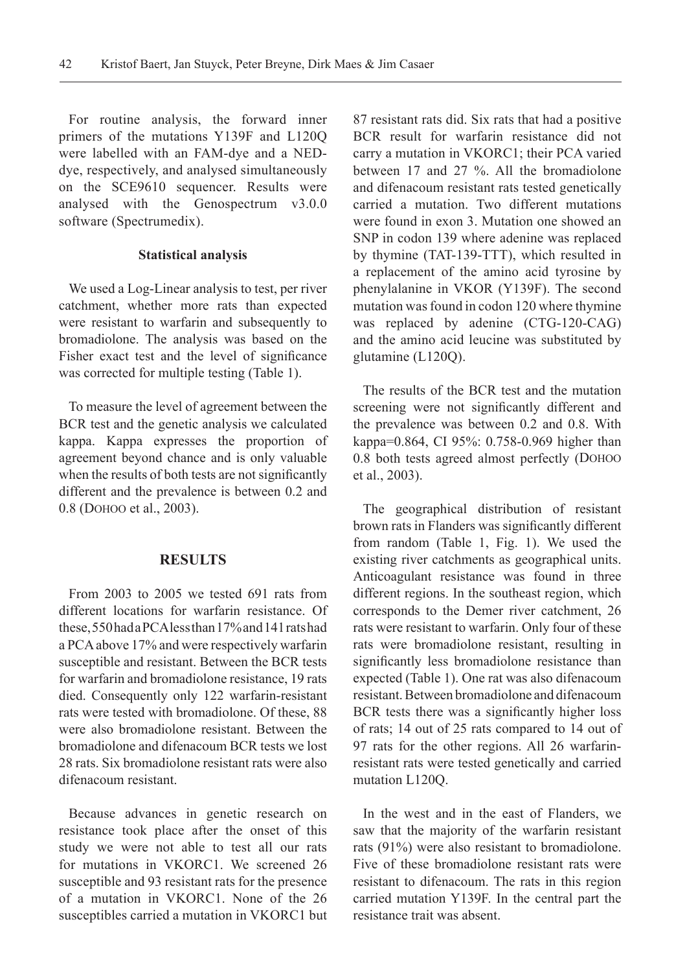For routine analysis, the forward inner primers of the mutations Y139F and L120Q were labelled with an FAM-dye and a NEDdye, respectively, and analysed simultaneously on the SCE9610 sequencer. Results were analysed with the Genospectrum v3.0.0 software (Spectrumedix).

#### **Statistical analysis**

We used a Log-Linear analysis to test, per river catchment, whether more rats than expected were resistant to warfarin and subsequently to bromadiolone. The analysis was based on the Fisher exact test and the level of significance was corrected for multiple testing (Table 1).

To measure the level of agreement between the BCR test and the genetic analysis we calculated kappa. Kappa expresses the proportion of agreement beyond chance and is only valuable when the results of both tests are not significantly different and the prevalence is between 0.2 and 0.8 (Dohoo et al., 2003).

#### **Results**

From 2003 to 2005 we tested 691 rats from different locations for warfarin resistance. Of these, 550 had a PCA less than 17% and 141 rats had a PCA above 17% and were respectively warfarin susceptible and resistant. Between the BCR tests for warfarin and bromadiolone resistance, 19 rats died. Consequently only 122 warfarin-resistant rats were tested with bromadiolone. Of these, 88 were also bromadiolone resistant. Between the bromadiolone and difenacoum BCR tests we lost 28 rats. Six bromadiolone resistant rats were also difenacoum resistant.

Because advances in genetic research on resistance took place after the onset of this study we were not able to test all our rats for mutations in VKORC1. We screened 26 susceptible and 93 resistant rats for the presence of a mutation in VKORC1. None of the 26 susceptibles carried a mutation in VKORC1 but

87 resistant rats did. Six rats that had a positive BCR result for warfarin resistance did not carry a mutation in VKORC1; their PCA varied between 17 and 27 %. All the bromadiolone and difenacoum resistant rats tested genetically carried a mutation. Two different mutations were found in exon 3. Mutation one showed an SNP in codon 139 where adenine was replaced by thymine (TAT-139-TTT), which resulted in a replacement of the amino acid tyrosine by phenylalanine in VKOR (Y139F). The second mutation was found in codon 120 where thymine was replaced by adenine (CTG-120-CAG) and the amino acid leucine was substituted by glutamine (L120Q).

The results of the BCR test and the mutation screening were not significantly different and the prevalence was between 0.2 and 0.8. With kappa=0.864, CI 95%: 0.758-0.969 higher than 0.8 both tests agreed almost perfectly (Dohoo et al., 2003).

The geographical distribution of resistant brown rats in Flanders was significantly different from random (Table 1, Fig. 1). We used the existing river catchments as geographical units. Anticoagulant resistance was found in three different regions. In the southeast region, which corresponds to the Demer river catchment, 26 rats were resistant to warfarin. Only four of these rats were bromadiolone resistant, resulting in significantly less bromadiolone resistance than expected (Table 1). One rat was also difenacoum resistant. Between bromadiolone and difenacoum BCR tests there was a significantly higher loss of rats; 14 out of 25 rats compared to 14 out of 97 rats for the other regions. All 26 warfarinresistant rats were tested genetically and carried mutation L120Q.

In the west and in the east of Flanders, we saw that the majority of the warfarin resistant rats (91%) were also resistant to bromadiolone. Five of these bromadiolone resistant rats were resistant to difenacoum. The rats in this region carried mutation Y139F. In the central part the resistance trait was absent.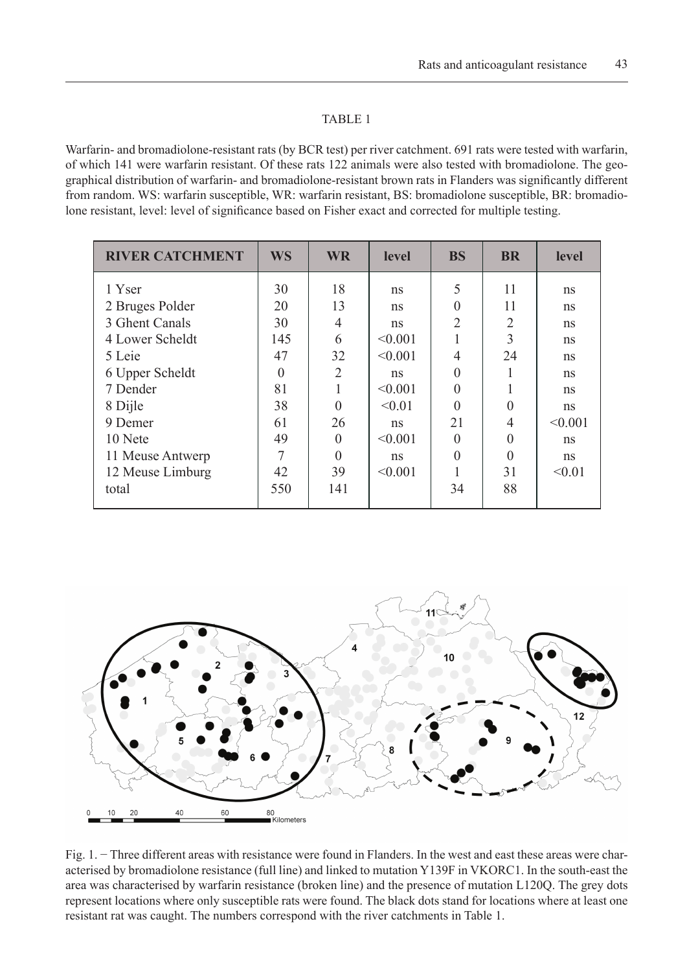#### TABLE 1

Warfarin- and bromadiolone-resistant rats (by BCR test) per river catchment. 691 rats were tested with warfarin, of which 141 were warfarin resistant. Of these rats 122 animals were also tested with bromadiolone. The geographical distribution of warfarin- and bromadiolone-resistant brown rats in Flanders was significantly different from random. WS: warfarin susceptible, WR: warfarin resistant, BS: bromadiolone susceptible, BR: bromadiolone resistant, level: level of significance based on Fisher exact and corrected for multiple testing.

| <b>RIVER CATCHMENT</b> | <b>WS</b> | <b>WR</b>      | level   | <b>BS</b>      | <b>BR</b>      | level   |
|------------------------|-----------|----------------|---------|----------------|----------------|---------|
| 1 Yser                 | 30        | 18             | ns      | 5              | 11             | ns      |
| 2 Bruges Polder        | 20        | 13             | ns      | $\Omega$       | 11             | ns      |
| 3 Ghent Canals         | 30        | $\overline{4}$ | ns      | $\overline{2}$ | $\overline{2}$ | ns      |
| 4 Lower Scheldt        | 145       | 6              | < 0.001 |                | 3              | ns      |
| 5 Leie                 | 47        | 32             | < 0.001 | $\overline{4}$ | 24             | ns      |
| 6 Upper Scheldt        | $\Omega$  | $\overline{2}$ | ns      | $\Omega$       |                | ns      |
| 7 Dender               | 81        |                | < 0.001 | $\Omega$       |                | ns      |
| 8 Dijle                | 38        | $\Omega$       | < 0.01  | $\Omega$       |                | ns      |
| 9 Demer                | 61        | 26             | ns      | 21             | 4              | < 0.001 |
| 10 Nete                | 49        | $\theta$       | < 0.001 | $\Omega$       | $\Omega$       | ns      |
| 11 Meuse Antwerp       | 7         | $\Omega$       | ns      | $\Omega$       |                | ns      |
| 12 Meuse Limburg       | 42        | 39             | < 0.001 |                | 31             | < 0.01  |
| total                  | 550       | 141            |         | 34             | 88             |         |
|                        |           |                |         |                |                |         |



Fig. 1. − Three different areas with resistance were found in Flanders. In the west and east these areas were characterised by bromadiolone resistance (full line) and linked to mutation Y139F in VKORC1. In the south-east the area was characterised by warfarin resistance (broken line) and the presence of mutation L120Q. The grey dots represent locations where only susceptible rats were found. The black dots stand for locations where at least one resistant rat was caught. The numbers correspond with the river catchments in Table 1.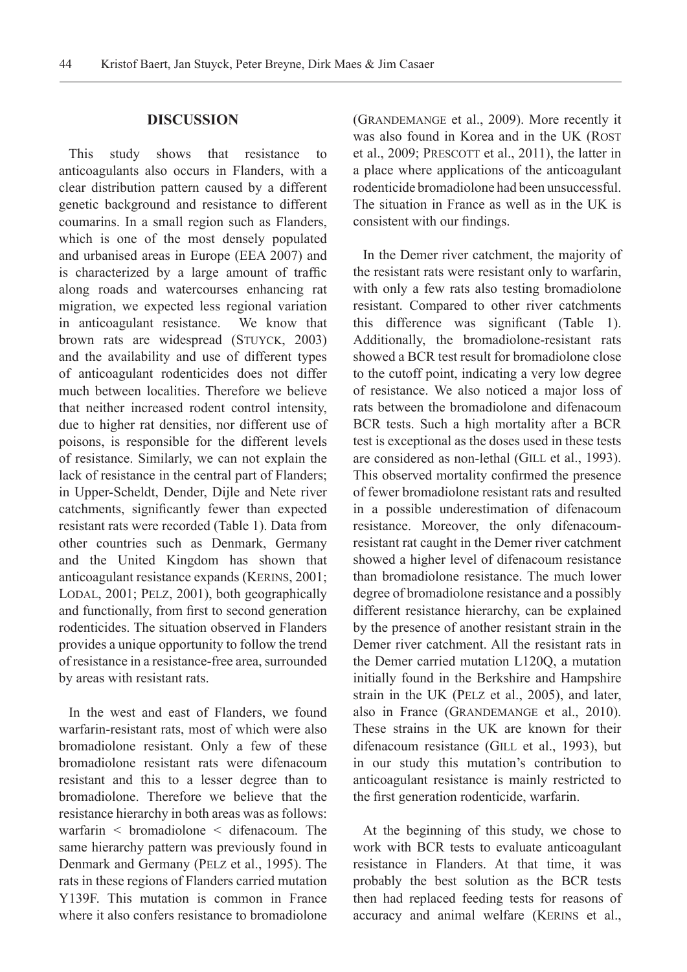## **Discussion**

This study shows that resistance to anticoagulants also occurs in Flanders, with a clear distribution pattern caused by a different genetic background and resistance to different coumarins. In a small region such as Flanders, which is one of the most densely populated and urbanised areas in Europe (EEA 2007) and is characterized by a large amount of traffic along roads and watercourses enhancing rat migration, we expected less regional variation in anticoagulant resistance. We know that brown rats are widespread (STUYCK, 2003) and the availability and use of different types of anticoagulant rodenticides does not differ much between localities. Therefore we believe that neither increased rodent control intensity, due to higher rat densities, nor different use of poisons, is responsible for the different levels of resistance. Similarly, we can not explain the lack of resistance in the central part of Flanders; in Upper-Scheldt, Dender, Dijle and Nete river catchments, significantly fewer than expected resistant rats were recorded (Table 1). Data from other countries such as Denmark, Germany and the United Kingdom has shown that anticoagulant resistance expands (KERINS, 2001; LODAL, 2001; PELZ, 2001), both geographically and functionally, from first to second generation rodenticides. The situation observed in Flanders provides a unique opportunity to follow the trend of resistance in a resistance-free area, surrounded by areas with resistant rats.

In the west and east of Flanders, we found warfarin-resistant rats, most of which were also bromadiolone resistant. Only a few of these bromadiolone resistant rats were difenacoum resistant and this to a lesser degree than to bromadiolone. Therefore we believe that the resistance hierarchy in both areas was as follows: warfarin  $\leq$  bromadiolone  $\leq$  difenacoum. The same hierarchy pattern was previously found in Denmark and Germany (Pelz et al., 1995). The rats in these regions of Flanders carried mutation Y139F. This mutation is common in France where it also confers resistance to bromadiolone

(Grandemange et al., 2009). More recently it was also found in Korea and in the UK (ROST) et al., 2009; PRESCOTT et al., 2011), the latter in a place where applications of the anticoagulant rodenticide bromadiolone had been unsuccessful. The situation in France as well as in the UK is consistent with our findings.

In the Demer river catchment, the majority of the resistant rats were resistant only to warfarin, with only a few rats also testing bromadiolone resistant. Compared to other river catchments this difference was significant (Table 1). Additionally, the bromadiolone-resistant rats showed a BCR test result for bromadiolone close to the cutoff point, indicating a very low degree of resistance. We also noticed a major loss of rats between the bromadiolone and difenacoum BCR tests. Such a high mortality after a BCR test is exceptional as the doses used in these tests are considered as non-lethal (GILL et al., 1993). This observed mortality confirmed the presence of fewer bromadiolone resistant rats and resulted in a possible underestimation of difenacoum resistance. Moreover, the only difenacoumresistant rat caught in the Demer river catchment showed a higher level of difenacoum resistance than bromadiolone resistance. The much lower degree of bromadiolone resistance and a possibly different resistance hierarchy, can be explained by the presence of another resistant strain in the Demer river catchment. All the resistant rats in the Demer carried mutation L120Q, a mutation initially found in the Berkshire and Hampshire strain in the UK (Pelz et al., 2005), and later, also in France (GRANDEMANGE et al., 2010). These strains in the UK are known for their difenacoum resistance (GILL et al., 1993), but in our study this mutation's contribution to anticoagulant resistance is mainly restricted to the first generation rodenticide, warfarin.

At the beginning of this study, we chose to work with BCR tests to evaluate anticoagulant resistance in Flanders. At that time, it was probably the best solution as the BCR tests then had replaced feeding tests for reasons of accuracy and animal welfare (KERINS et al.,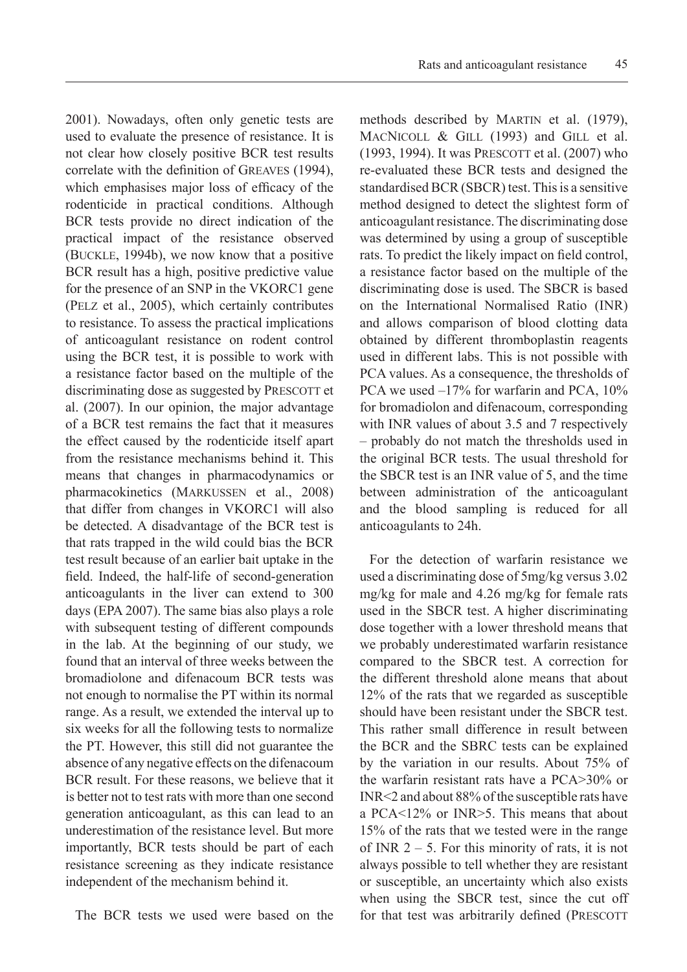2001). Nowadays, often only genetic tests are used to evaluate the presence of resistance. It is not clear how closely positive BCR test results correlate with the definition of Greaves (1994), which emphasises major loss of efficacy of the rodenticide in practical conditions. Although BCR tests provide no direct indication of the practical impact of the resistance observed (Buckle, 1994b), we now know that a positive BCR result has a high, positive predictive value for the presence of an SNP in the VKORC1 gene (Pelz et al., 2005), which certainly contributes to resistance. To assess the practical implications of anticoagulant resistance on rodent control using the BCR test, it is possible to work with a resistance factor based on the multiple of the discriminating dose as suggested by PRESCOTT et al. (2007). In our opinion, the major advantage of a BCR test remains the fact that it measures the effect caused by the rodenticide itself apart from the resistance mechanisms behind it. This means that changes in pharmacodynamics or pharmacokinetics (Markussen et al., 2008) that differ from changes in VKORC1 will also be detected. A disadvantage of the BCR test is that rats trapped in the wild could bias the BCR test result because of an earlier bait uptake in the field. Indeed, the half-life of second-generation anticoagulants in the liver can extend to 300 days (EPA 2007). The same bias also plays a role with subsequent testing of different compounds in the lab. At the beginning of our study, we found that an interval of three weeks between the bromadiolone and difenacoum BCR tests was not enough to normalise the PT within its normal range. As a result, we extended the interval up to six weeks for all the following tests to normalize the PT. However, this still did not guarantee the absence of any negative effects on the difenacoum BCR result. For these reasons, we believe that it is better not to test rats with more than one second generation anticoagulant, as this can lead to an underestimation of the resistance level. But more importantly, BCR tests should be part of each resistance screening as they indicate resistance independent of the mechanism behind it.

The BCR tests we used were based on the

methods described by MARTIN et al. (1979), MACNICOLL & GILL (1993) and GILL et al. (1993, 1994). It was PRESCOTT et al. (2007) who re-evaluated these BCR tests and designed the standardised BCR (SBCR) test. This is a sensitive method designed to detect the slightest form of anticoagulant resistance. The discriminating dose was determined by using a group of susceptible rats. To predict the likely impact on field control, a resistance factor based on the multiple of the discriminating dose is used. The SBCR is based on the International Normalised Ratio (INR) and allows comparison of blood clotting data obtained by different thromboplastin reagents used in different labs. This is not possible with PCA values. As a consequence, the thresholds of PCA we used  $-17\%$  for warfarin and PCA, 10% for bromadiolon and difenacoum, corresponding with INR values of about 3.5 and 7 respectively – probably do not match the thresholds used in the original BCR tests. The usual threshold for the SBCR test is an INR value of 5, and the time between administration of the anticoagulant and the blood sampling is reduced for all anticoagulants to 24h.

For the detection of warfarin resistance we used a discriminating dose of 5mg/kg versus 3.02 mg/kg for male and 4.26 mg/kg for female rats used in the SBCR test. A higher discriminating dose together with a lower threshold means that we probably underestimated warfarin resistance compared to the SBCR test. A correction for the different threshold alone means that about 12% of the rats that we regarded as susceptible should have been resistant under the SBCR test. This rather small difference in result between the BCR and the SBRC tests can be explained by the variation in our results. About 75% of the warfarin resistant rats have a PCA>30% or INR<2 and about 88% of the susceptible rats have a PCA<12% or INR>5. This means that about 15% of the rats that we tested were in the range of INR  $2 - 5$ . For this minority of rats, it is not always possible to tell whether they are resistant or susceptible, an uncertainty which also exists when using the SBCR test, since the cut off for that test was arbitrarily defined (PRESCOTT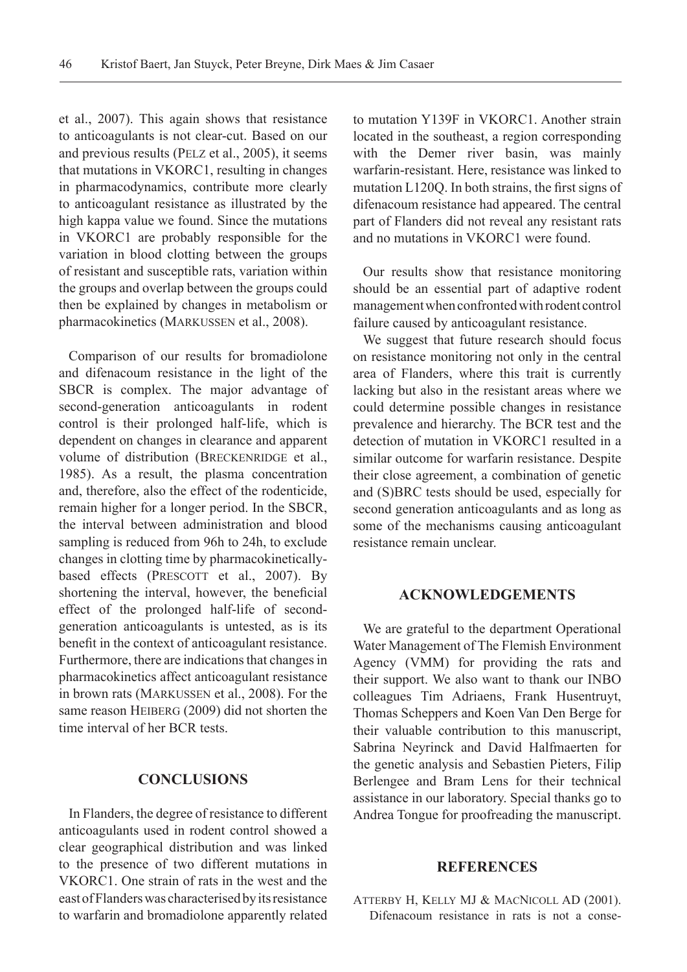et al., 2007). This again shows that resistance to anticoagulants is not clear-cut. Based on our and previous results (Pelz et al., 2005), it seems that mutations in VKORC1, resulting in changes in pharmacodynamics, contribute more clearly to anticoagulant resistance as illustrated by the high kappa value we found. Since the mutations in VKORC1 are probably responsible for the variation in blood clotting between the groups of resistant and susceptible rats, variation within the groups and overlap between the groups could then be explained by changes in metabolism or pharmacokinetics (Markussen et al., 2008).

Comparison of our results for bromadiolone and difenacoum resistance in the light of the SBCR is complex. The major advantage of second-generation anticoagulants in rodent control is their prolonged half-life, which is dependent on changes in clearance and apparent volume of distribution (BRECKENRIDGE et al., 1985). As a result, the plasma concentration and, therefore, also the effect of the rodenticide, remain higher for a longer period. In the SBCR, the interval between administration and blood sampling is reduced from 96h to 24h, to exclude changes in clotting time by pharmacokineticallybased effects (PRESCOTT et al., 2007). By shortening the interval, however, the beneficial effect of the prolonged half-life of secondgeneration anticoagulants is untested, as is its benefit in the context of anticoagulant resistance. Furthermore, there are indications that changes in pharmacokinetics affect anticoagulant resistance in brown rats (Markussen et al., 2008). For the same reason HEIBERG (2009) did not shorten the time interval of her BCR tests.

# **Conclusions**

In Flanders, the degree of resistance to different anticoagulants used in rodent control showed a clear geographical distribution and was linked to the presence of two different mutations in VKORC1. One strain of rats in the west and the east of Flanders was characterised by its resistance to warfarin and bromadiolone apparently related to mutation Y139F in VKORC1. Another strain located in the southeast, a region corresponding with the Demer river basin, was mainly warfarin-resistant. Here, resistance was linked to mutation L120Q. In both strains, the first signs of difenacoum resistance had appeared. The central part of Flanders did not reveal any resistant rats and no mutations in VKORC1 were found.

Our results show that resistance monitoring should be an essential part of adaptive rodent management when confronted with rodent control failure caused by anticoagulant resistance.

We suggest that future research should focus on resistance monitoring not only in the central area of Flanders, where this trait is currently lacking but also in the resistant areas where we could determine possible changes in resistance prevalence and hierarchy. The BCR test and the detection of mutation in VKORC1 resulted in a similar outcome for warfarin resistance. Despite their close agreement, a combination of genetic and (S)BRC tests should be used, especially for second generation anticoagulants and as long as some of the mechanisms causing anticoagulant resistance remain unclear.

# **Acknowledgements**

We are grateful to the department Operational Water Management of The Flemish Environment Agency (VMM) for providing the rats and their support. We also want to thank our INBO colleagues Tim Adriaens, Frank Husentruyt, Thomas Scheppers and Koen Van Den Berge for their valuable contribution to this manuscript, Sabrina Neyrinck and David Halfmaerten for the genetic analysis and Sebastien Pieters, Filip Berlengee and Bram Lens for their technical assistance in our laboratory. Special thanks go to Andrea Tongue for proofreading the manuscript.

# **References**

Atterby H, Kelly MJ & MacNicoll AD (2001). Difenacoum resistance in rats is not a conse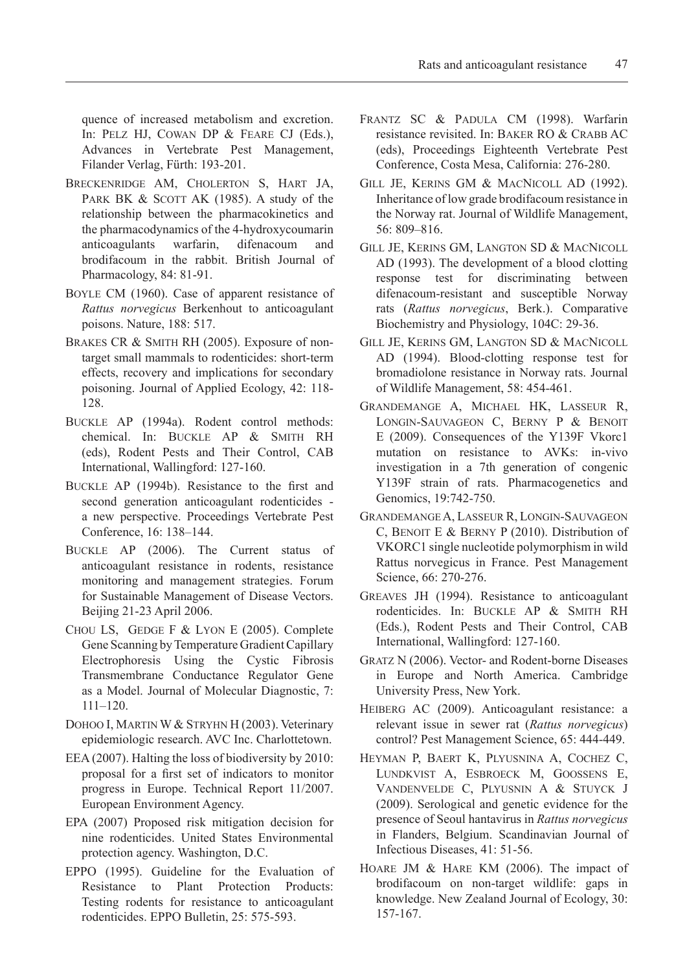quence of increased metabolism and excretion. In: Pelz HJ, Cowan DP & Feare CJ (Eds.), Advances in Vertebrate Pest Management, Filander Verlag, Fürth: 193-201.

- Breckenridge AM, Cholerton S, Hart JA, PARK BK  $&$  SCOTT AK (1985). A study of the relationship between the pharmacokinetics and the pharmacodynamics of the 4-hydroxycoumarin anticoagulants warfarin, difenacoum and brodifacoum in the rabbit. British Journal of Pharmacology, 84: 81-91.
- BOYLE CM (1960). Case of apparent resistance of *Rattus norvegicus* Berkenhout to anticoagulant poisons. Nature, 188: 517.
- BRAKES CR & SMITH RH (2005). Exposure of nontarget small mammals to rodenticides: short-term effects, recovery and implications for secondary poisoning. Journal of Applied Ecology, 42: 118- 128.
- Buckle AP (1994a). Rodent control methods: chemical. In: BUCKLE AP & SMITH RH (eds), Rodent Pests and Their Control, CAB International, Wallingford: 127-160.
- Buckle AP (1994b). Resistance to the first and second generation anticoagulant rodenticides a new perspective. Proceedings Vertebrate Pest Conference, 16: 138–144.
- Buckle AP (2006). The Current status of anticoagulant resistance in rodents, resistance monitoring and management strategies. Forum for Sustainable Management of Disease Vectors. Beijing 21-23 April 2006.
- CHOU LS, GEDGE F  $&$  LYON E (2005). Complete Gene Scanning by Temperature Gradient Capillary Electrophoresis Using the Cystic Fibrosis Transmembrane Conductance Regulator Gene as a Model. Journal of Molecular Diagnostic, 7: 111–120.
- DOHOO I, MARTIN W & STRYHN H (2003). Veterinary epidemiologic research. AVC Inc. Charlottetown.
- EEA (2007). Halting the loss of biodiversity by 2010: proposal for a first set of indicators to monitor progress in Europe. Technical Report 11/2007. European Environment Agency.
- EPA (2007) Proposed risk mitigation decision for nine rodenticides. United States Environmental protection agency. Washington, D.C.
- EPPO (1995). Guideline for the Evaluation of Resistance to Plant Protection Products: Testing rodents for resistance to anticoagulant rodenticides. EPPO Bulletin, 25: 575-593.
- Frantz SC & Padula CM (1998). Warfarin resistance revisited. In: BAKER RO & CRABB AC (eds), Proceedings Eighteenth Vertebrate Pest Conference, Costa Mesa, California: 276-280.
- Gill JE, Kerins GM & MacNicoll AD (1992). Inheritance of low grade brodifacoum resistance in the Norway rat. Journal of Wildlife Management, 56: 809–816.
- Gill JE, Kerins GM, Langton SD & MacNicoll AD (1993). The development of a blood clotting response test for discriminating between difenacoum-resistant and susceptible Norway rats (*Rattus norvegicus*, Berk.). Comparative Biochemistry and Physiology, 104C: 29-36.
- Gill JE, Kerins GM, Langton SD & MacNicoll AD (1994). Blood-clotting response test for bromadiolone resistance in Norway rats. Journal of Wildlife Management, 58: 454-461.
- Grandemange A, Michael HK, Lasseur R, Longin-Sauvageon C, Berny P & Benoit E (2009). Consequences of the Y139F Vkorc1 mutation on resistance to AVKs: in-vivo investigation in a 7th generation of congenic Y139F strain of rats. Pharmacogenetics and Genomics, 19:742-750.
- GrandemangeA, Lasseur R, Longin-Sauvageon C, BENOIT E & BERNY P (2010). Distribution of VKORC1 single nucleotide polymorphism in wild Rattus norvegicus in France. Pest Management Science, 66: 270-276.
- Greaves JH (1994). Resistance to anticoagulant rodenticides. In: Buckle AP & Smith RH (Eds.), Rodent Pests and Their Control, CAB International, Wallingford: 127-160.
- Gratz N (2006). Vector- and Rodent-borne Diseases in Europe and North America. Cambridge University Press, New York.
- HEIBERG AC (2009). Anticoagulant resistance: a relevant issue in sewer rat (*Rattus norvegicus*) control? Pest Management Science, 65: 444-449.
- Heyman P, Baert K, Plyusnina A, Cochez C, Lundkvist A, Esbroeck M, Goossens E, Vandenvelde C, Plyusnin A & Stuyck J (2009). Serological and genetic evidence for the presence of Seoul hantavirus in *Rattus norvegicus* in Flanders, Belgium. Scandinavian Journal of Infectious Diseases, 41: 51-56.
- Hoare JM & Hare KM (2006). The impact of brodifacoum on non-target wildlife: gaps in knowledge. New Zealand Journal of Ecology, 30: 157-167.